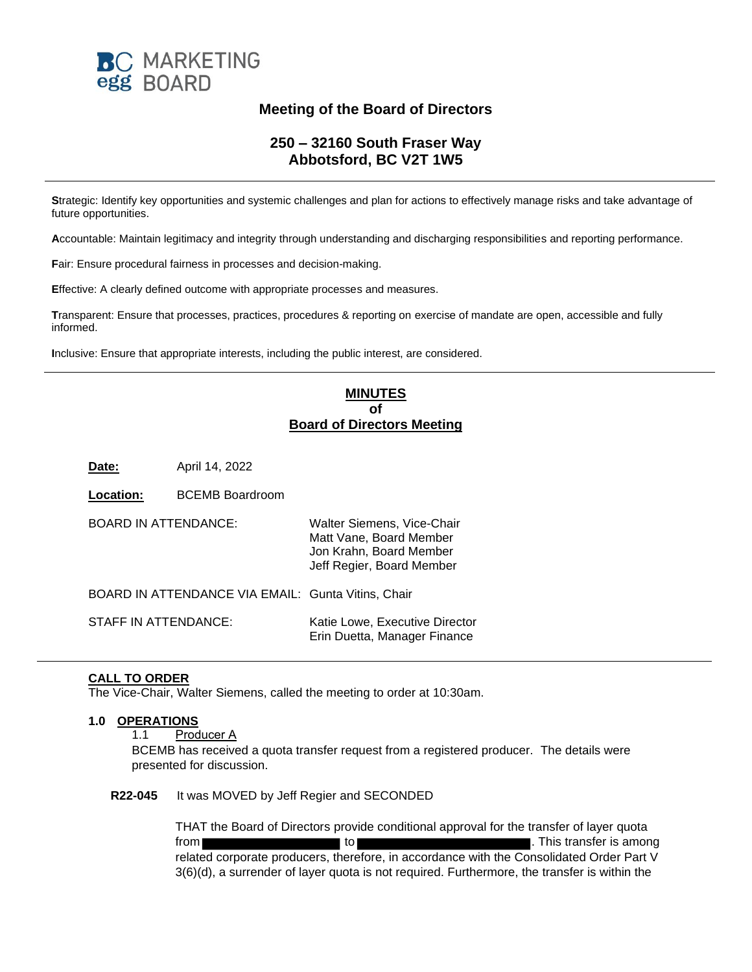

# **Meeting of the Board of Directors**

## **250 – 32160 South Fraser Way Abbotsford, BC V2T 1W5**

**S**trategic: Identify key opportunities and systemic challenges and plan for actions to effectively manage risks and take advantage of future opportunities.

**A**ccountable: Maintain legitimacy and integrity through understanding and discharging responsibilities and reporting performance.

**F**air: Ensure procedural fairness in processes and decision-making.

**E**ffective: A clearly defined outcome with appropriate processes and measures.

**T**ransparent: Ensure that processes, practices, procedures & reporting on exercise of mandate are open, accessible and fully informed.

**I**nclusive: Ensure that appropriate interests, including the public interest, are considered.

### **MINUTES of Board of Directors Meeting**

**Date:** April 14, 2022

| Location:                                          | <b>BCEMB Boardroom</b> |                                                                                                               |
|----------------------------------------------------|------------------------|---------------------------------------------------------------------------------------------------------------|
| <b>BOARD IN ATTENDANCE:</b>                        |                        | Walter Siemens, Vice-Chair<br>Matt Vane, Board Member<br>Jon Krahn, Board Member<br>Jeff Regier, Board Member |
| BOARD IN ATTENDANCE VIA EMAIL: Gunta Vitins, Chair |                        |                                                                                                               |
| STAFF IN ATTENDANCE:                               |                        | Katie Lowe, Executive Director<br>Erin Duetta, Manager Finance                                                |

#### **CALL TO ORDER**

The Vice-Chair, Walter Siemens, called the meeting to order at 10:30am.

#### **1.0 OPERATIONS**

1.1 Producer A

BCEMB has received a quota transfer request from a registered producer. The details were presented for discussion.

#### **R22-045** It was MOVED by Jeff Regier and SECONDED

THAT the Board of Directors provide conditional approval for the transfer of layer quota from to the state of the state of the state of the state of the state of the state of the state of the state of the state of the state of the state of the state of the state of the state of the state of the state of the st related corporate producers, therefore, in accordance with the Consolidated Order Part V 3(6)(d), a surrender of layer quota is not required. Furthermore, the transfer is within the